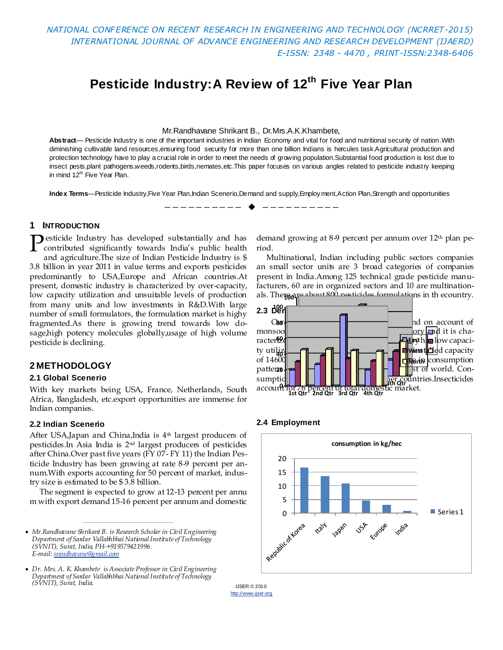*NATIONAL CONFERENCE ON RECENT RESEARCH IN ENGINEERING AND TECHNOLOGY (NCRRET-2015) INTERNATIONAL JOURNAL OF ADVANCE ENGINEERING AND RESEARCH DEVELOPMENT (IJAERD) E-ISSN: 2348 - 4470 , PRINT-ISSN:2348-6406*

# **Pesticide Industry:A Review of 12th Five Year Plan**

#### Mr.Randhavane Shrikant B., Dr.Mrs.A.K.Khambete,

Abstract— Pesticide Industry is one of the important industries in Indian Economy and vital for food and nutritional security of nation. With diminishing cultivable land resources,ensuring food security for more than one billion Indians is hercules task.Agricultural production and protection technology have to play a crucial role in order to meet the needs of growing population.Substantial food production is lost due to insect pests,plant pathogens,weeds,rodents,birds,nemates,etc.This paper focuses on various angles related to pesticide industry keeping in mind 12<sup>th</sup> Five Year Plan.

Index Terms—Pesticide Industry,Five Year Plan,Indian Scenerio,Demand and supply,Employment,Action Plan,Strength and opportunities

 $-$ 

#### **1 INTRODUCTION**

**P**esticide Industry has developed substantially and has contributed significantly towards India's public health contributed significantly towards India's public health and agriculture.The size of Indian Pesticide Industry is \$ 3.8 billion in year 2011 in value terms and exports pesticides predominantly to USA,Europe and African countries.At present, domestic industry is characterized by over-capacity, low capacity utilization and unsuitable levels of production from many units and low investments in R&D.With large number of small formulators, the formulation market is highy fragmented.As there is growing trend towards low dosage,high potency molecules globally,usage of high volume pesticide is declining.

#### **2 METHODOLOGY**

#### **2.1 Global Scenerio**

With key markets being USA, France, Netherlands, South Africa, Bangladesh, etc.export opportunities are immense for Indian companies.

#### **2.2 Indian Scenerio**

After USA, Japan and China, India is  $4<sup>th</sup>$  largest producers of pesticides.In Asia India is 2nd largest producers of pesticides after China.Over past five years (FY 07- FY 11) the Indian Pesticide Industry has been growing at rate 8-9 percent per annum.With exports accounting for 50 percent of market, industry size is estimated to be \$ 3.8 billion.

The segment is expected to grow at 12-13 percent per annu m with export demand 15-16 percent per annum and domestic

————————————————

demand growing at 8-9 percent per annum over 12th plan period.

Multinational, Indian including public sectors companies an small sector units are 3 broad categories of companies present in India.Among 125 technical grade pesticide manufacturers, 60 are in organized sectors and 10 are multinationals. The**reoprophymish posticides formulatio**ns in th ecountry.



#### **2.4 Employment**





*Mr.Randhavane Shrikant B. is Research Scholar in Civil Engineering Department of Sardar Vallabhbhai National Institute of Technology (SVNIT), Surat, India, PH-+919579421996. E-mail[: srandhavane@gmail.com](mailto:srandhavane@gmail.com)*

*Dr. Mrs. A. K. Khambete is Associate Professor in Civil Engineering Department of Sardar Vallabhbhai National Institute of Technology (SVNIT), Surat, India.*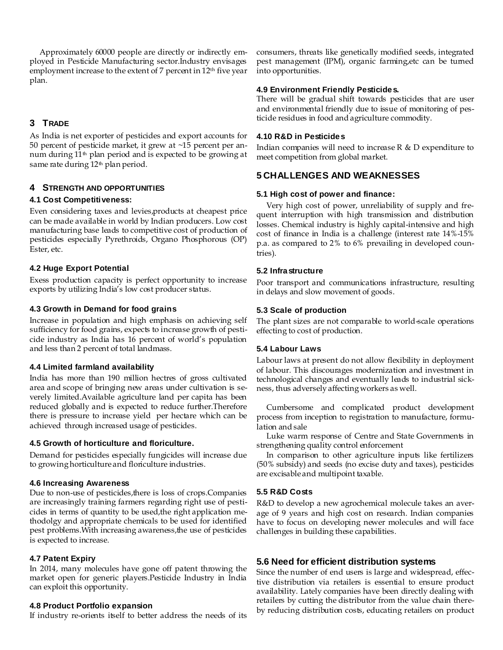Approximately 60000 people are directly or indirectly employed in Pesticide Manufacturing sector.Industry envisages employment increase to the extent of 7 percent in 12<sup>th</sup> five year plan.

# **3 TRADE**

As India is net exporter of pesticides and export accounts for 50 percent of pesticide market, it grew at ~15 percent per annum during 11<sup>th</sup> plan period and is expected to be growing at same rate during  $12<sup>th</sup>$  plan period.

# **4 STRENGTH AND OPPORTUNITIES**

## **4.1 Cost Competitiveness:**

Even considering taxes and levies,products at cheapest price can be made available in world by Indian producers. Low cost manufacturing base leads to competitive cost of production of pesticides especially Pyrethroids, Organo Phosphorous (OP) Ester, etc.

## **4.2 Huge Export Potential**

Exess production capacity is perfect opportunity to increase exports by utilizing India's low cost producer status.

## **4.3 Growth in Demand for food grains**

Increase in population and high emphasis on achieving self sufficiency for food grains, expects to increase growth of pesticide industry as India has 16 percent of world's population and less than 2 percent of total landmass.

#### **4.4 Limited farmland availability**

India has more than 190 million hectres of gross cultivated area and scope of bringing new areas under cultivation is severely limited.Available agriculture land per capita has been reduced globally and is expected to reduce further.Therefore there is pressure to increase yield per hectare which can be achieved through increased usage of pesticides.

#### **4.5 Growth of horticulture and floriculture.**

Demand for pesticides especially fungicides will increase due to growing horticulture and floriculture industries.

#### **4.6 Increasing Awareness**

Due to non-use of pesticides, there is loss of crops. Companies are increasingly training farmers regarding right use of pesticides in terms of quantity to be used,the right application methodolgy and appropriate chemicals to be used for identified pest problems. With increasing awareness, the use of pesticides is expected to increase.

#### **4.7 Patent Expiry**

In 2014, many molecules have gone off patent throwing the market open for generic players.Pesticide Industry in India can exploit this opportunity.

#### **4.8 Product Portfolio expansion**

If industry re-orients itself to better address the needs of its

consumers, threats like genetically modified seeds, integrated pest management (IPM), organic farming,etc can be turned into opportunities.

#### **4.9 Environment Friendly Pesticides.**

There will be gradual shift towards pesticides that are user and environmental friendly due to issue of monitoring of pesticide residues in food and agriculture commodity.

#### **4.10 R&D in Pesticides**

Indian companies will need to increase R & D expenditure to meet competition from global market.

# **5 CHALLENGES AND WEAKNESSES**

#### **5.1 High cost of power and finance:**

Very high cost of power, unreliability of supply and frequent interruption with high transmission and distribution losses. Chemical industry is highly capital-intensive and high cost of finance in India is a challenge (interest rate 14%-15% p.a. as compared to 2% to 6% prevailing in developed countries).

## **5.2 Infrastructure**

Poor transport and communications infrastructure, resulting in delays and slow movement of goods.

## **5.3 Scale of production**

The plant sizes are not comparable to world-scale operations effecting to cost of production.

#### **5.4 Labour Laws**

Labour laws at present do not allow flexibility in deployment of labour. This discourages modernization and investment in technological changes and eventually leads to industrial sickness, thus adversely affecting workers as well.

Cumbersome and complicated product development process from inception to registration to manufacture, formulation and sale

Luke warm response of Centre and State Governments in strengthening quality control enforcement

In comparison to other agriculture inputs like fertilizers (50% subsidy) and seeds (no excise duty and taxes), pesticides are excisable and multipoint taxable.

# **5.5 R&D Costs**

R&D to develop a new agrochemical molecule takes an average of 9 years and high cost on research. Indian companies have to focus on developing newer molecules and will face challenges in building these capabilities.

# **5.6 Need for efficient distribution systems**

Since the number of end users is large and widespread, effective distribution via retailers is essential to ensure product availability. Lately companies have been directly dealing with retailers by cutting the distributor from the value chain thereby reducing distribution costs, educating retailers on product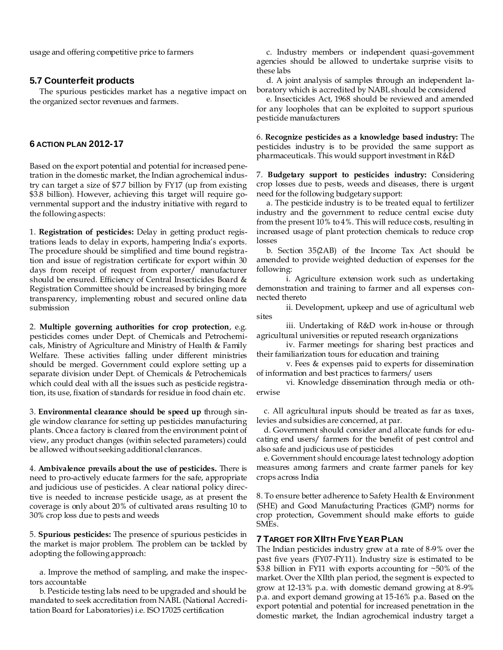usage and offering competitive price to farmers

#### **5.7 Counterfeit products**

The spurious pesticides market has a negative impact on the organized sector revenues and farmers.

# **6 ACTION PLAN 2012-17**

Based on the export potential and potential for increased penetration in the domestic market, the Indian agrochemical industry can target a size of \$7.7 billion by FY17 (up from existing \$3.8 billion). However, achieving this target will require governmental support and the industry initiative with regard to the following aspects:

1. **Registration of pesticides:** Delay in getting product registrations leads to delay in exports, hampering India's exports. The procedure should be simplified and time bound registration and issue of registration certificate for export within 30 days from receipt of request from exporter/ manufacturer should be ensured. Efficiency of Central Insecticides Board & Registration Committee should be increased by bringing more transparency, implementing robust and secured online data submission

2. **Multiple governing authorities for crop protection**, e.g. pesticides comes under Dept. of Chemicals and Petrochemicals, Ministry of Agriculture and Ministry of Health & Family Welfare. These activities falling under different ministries should be merged. Government could explore setting up a separate division under Dept. of Chemicals & Petrochemicals which could deal with all the issues such as pesticide registration, its use, fixation of standards for residue in food chain etc.

3. **Environmental clearance should be speed up** through single window clearance for setting up pesticides manufacturing plants. Once a factory is cleared from the environment point of view, any product changes (within selected parameters) could be allowed without seeking additional clearances.

4. **Ambivalence prevails about the use of pesticides.** There is need to pro-actively educate farmers for the safe, appropriate and judicious use of pesticides. A clear national policy directive is needed to increase pesticide usage, as at present the coverage is only about 20% of cultivated areas resulting 10 to 30% crop loss due to pests and weeds

5. **Spurious pesticides:** The presence of spurious pesticides in the market is major problem. The problem can be tackled by adopting the following approach:

a. Improve the method of sampling, and make the inspectors accountable

b. Pesticide testing labs need to be upgraded and should be mandated to seek accreditation from NABL (National Accreditation Board for Laboratories) i.e. ISO 17025 certification

c. Industry members or independent quasi-government agencies should be allowed to undertake surprise visits to these labs

d. A joint analysis of samples through an independent laboratory which is accredited by NABL should be considered

e. Insecticides Act, 1968 should be reviewed and amended for any loopholes that can be exploited to support spurious pesticide manufacturers

6. **Recognize pesticides as a knowledge based industry:** The pesticides industry is to be provided the same support as pharmaceuticals. This would support investment in R&D

7. **Budgetary support to pesticides industry:** Considering crop losses due to pests, weeds and diseases, there is urgent need for the following budgetary support:

a. The pesticide industry is to be treated equal to fertilizer industry and the government to reduce central excise duty from the present 10% to 4%. This will reduce costs, resulting in increased usage of plant protection chemicals to reduce crop losses

b. Section 35(2AB) of the Income Tax Act should be amended to provide weighted deduction of expenses for the following:

i. Agriculture extension work such as undertaking demonstration and training to farmer and all expenses connected thereto

ii. Development, upkeep and use of agricultural web sites

iii. Undertaking of R&D work in-house or through agricultural universities or reputed research organizations

iv. Farmer meetings for sharing best practices and their familiarization tours for education and training

v. Fees & expenses paid to experts for dissemination of information and best practices to farmers/ users

vi. Knowledge dissemination through media or otherwise

 c. All agricultural inputs should be treated as far as taxes, levies and subsidies are concerned, at par.

 d. Government should consider and allocate funds for educating end users/ farmers for the benefit of pest control and also safe and judicious use of pesticides

 e. Government should encourage latest technology adoption measures among farmers and create farmer panels for key crops across India

8. To ensure better adherence to Safety Health & Environment (SHE) and Good Manufacturing Practices (GMP) norms for crop protection, Government should make efforts to guide SMEs.

#### **7 TARGET FOR XIITH FIVE YEAR PLAN**

The Indian pesticides industry grew at a rate of 8-9% over the past five years (FY07-FY11). Industry size is estimated to be \$3.8 billion in FY11 with exports accounting for ~50% of the market. Over the XIIth plan period, the segment is expected to grow at 12-13% p.a. with domestic demand growing at 8-9% p.a. and export demand growing at 15-16% p.a. Based on the export potential and potential for increased penetration in the domestic market, the Indian agrochemical industry target a